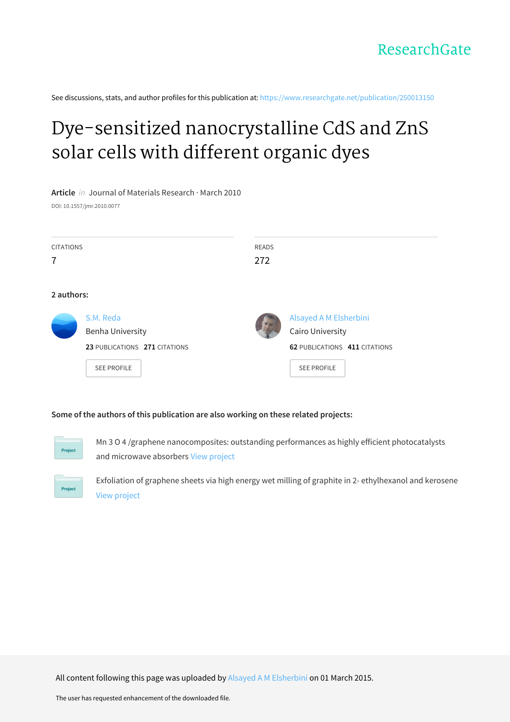See discussions, stats, and author profiles for this publication at: [https://www.researchgate.net/publication/250013150](https://www.researchgate.net/publication/250013150_Dye-sensitized_nanocrystalline_CdS_and_ZnS_solar_cells_with_different_organic_dyes?enrichId=rgreq-08feda8c855640331a151f66157f00a5-XXX&enrichSource=Y292ZXJQYWdlOzI1MDAxMzE1MDtBUzoyMDIwOTg1MTI3OTc3MDFAMTQyNTE5NTQ0ODU5Ng%3D%3D&el=1_x_2&_esc=publicationCoverPdf)

# Dye-sensitized [nanocrystalline](https://www.researchgate.net/publication/250013150_Dye-sensitized_nanocrystalline_CdS_and_ZnS_solar_cells_with_different_organic_dyes?enrichId=rgreq-08feda8c855640331a151f66157f00a5-XXX&enrichSource=Y292ZXJQYWdlOzI1MDAxMzE1MDtBUzoyMDIwOTg1MTI3OTc3MDFAMTQyNTE5NTQ0ODU5Ng%3D%3D&el=1_x_3&_esc=publicationCoverPdf) CdS and ZnS solar cells with different organic dyes

**Article** in Journal of Materials Research · March 2010 DOI: 10.1557/jmr.2010.0077

| <b>CITATIONS</b><br>7 |                                                                                             | <b>READS</b><br>272 |                                                                                                          |  |  |  |  |
|-----------------------|---------------------------------------------------------------------------------------------|---------------------|----------------------------------------------------------------------------------------------------------|--|--|--|--|
| 2 authors:            |                                                                                             |                     |                                                                                                          |  |  |  |  |
|                       | S.M. Reda<br><b>Benha University</b><br>23 PUBLICATIONS 271 CITATIONS<br><b>SEE PROFILE</b> |                     | Alsayed A M Elsherbini<br>Cairo University<br><b>62 PUBLICATIONS 411 CITATIONS</b><br><b>SEE PROFILE</b> |  |  |  |  |

## **Some of the authors of this publication are also working on these related projects:**



Mn 3 O 4 /graphene nanocomposites: outstanding performances as highly efficient photocatalysts and microwave absorbers View [project](https://www.researchgate.net/project/Mn-3-O-4-graphene-nanocomposites-outstanding-performances-as-highly-efficient-photocatalysts-and-microwave-absorbers?enrichId=rgreq-08feda8c855640331a151f66157f00a5-XXX&enrichSource=Y292ZXJQYWdlOzI1MDAxMzE1MDtBUzoyMDIwOTg1MTI3OTc3MDFAMTQyNTE5NTQ0ODU5Ng%3D%3D&el=1_x_9&_esc=publicationCoverPdf)



Exfoliation of graphene sheets via high energy wet milling of graphite in 2- ethylhexanol and kerosene View [project](https://www.researchgate.net/project/Exfoliation-of-graphene-sheets-via-high-energy-wet-milling-of-graphite-in-2-ethylhexanol-and-kerosene?enrichId=rgreq-08feda8c855640331a151f66157f00a5-XXX&enrichSource=Y292ZXJQYWdlOzI1MDAxMzE1MDtBUzoyMDIwOTg1MTI3OTc3MDFAMTQyNTE5NTQ0ODU5Ng%3D%3D&el=1_x_9&_esc=publicationCoverPdf)

All content following this page was uploaded by Alsayed A M [Elsherbini](https://www.researchgate.net/profile/Alsayed_Elsherbini?enrichId=rgreq-08feda8c855640331a151f66157f00a5-XXX&enrichSource=Y292ZXJQYWdlOzI1MDAxMzE1MDtBUzoyMDIwOTg1MTI3OTc3MDFAMTQyNTE5NTQ0ODU5Ng%3D%3D&el=1_x_10&_esc=publicationCoverPdf) on 01 March 2015.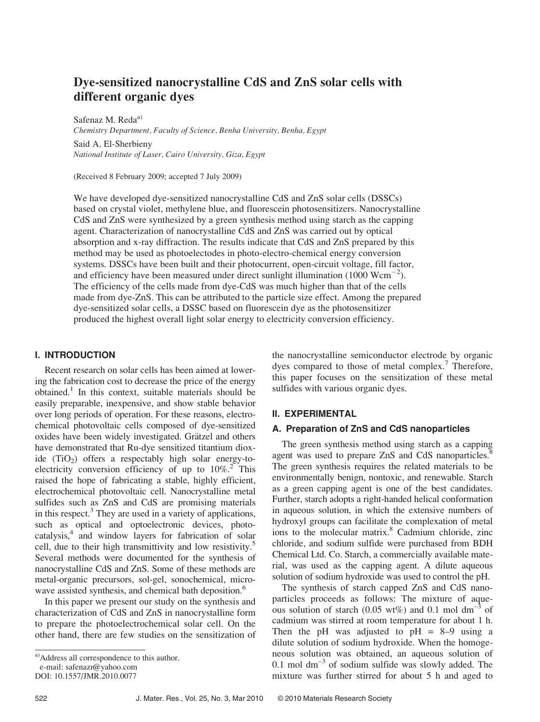## Dye-sensitized nanocrystalline CdS and ZnS solar cells with different organic dyes

Safenaz M. Reda<sup>a)</sup> Chemistry Department, Faculty of Science, Benha University, Benha, Egypt

Said A. El-Sherbieny National Institute of Laser, Cairo University, Giza, Egypt

(Received 8 February 2009; accepted 7 July 2009)

We have developed dye-sensitized nanocrystalline CdS and ZnS solar cells (DSSCs) based on crystal violet, methylene blue, and fluorescein photosensitizers. Nanocrystalline CdS and ZnS were synthesized by a green synthesis method using starch as the capping agent. Characterization of nanocrystalline CdS and ZnS was carried out by optical absorption and x-ray diffraction. The results indicate that CdS and ZnS prepared by this method may be used as photoelectodes in photo-electro-chemical energy conversion systems. DSSCs have been built and their photocurrent, open-circuit voltage, fill factor, and efficiency have been measured under direct sunlight illumination (1000  $Wcm^{-2}$ ). The efficiency of the cells made from dye-CdS was much higher than that of the cells made from dye-ZnS. This can be attributed to the particle size effect. Among the prepared dye-sensitized solar cells, a DSSC based on fluorescein dye as the photosensitizer produced the highest overall light solar energy to electricity conversion efficiency.

### I. INTRODUCTION

Recent research on solar cells has been aimed at lowering the fabrication cost to decrease the price of the energy obtained.<sup>1</sup> In this context, suitable materials should be easily preparable, inexpensive, and show stable behavior over long periods of operation. For these reasons, electrochemical photovoltaic cells composed of dye-sensitized oxides have been widely investigated. Grätzel and others have demonstrated that Ru-dye sensitized titantium dioxide  $(TiO<sub>2</sub>)$  offers a respectably high solar energy-toelectricity conversion efficiency of up to  $10\%$ <sup>2</sup>. This raised the hope of fabricating a stable, highly efficient, electrochemical photovoltaic cell. Nanocrystalline metal sulfides such as ZnS and CdS are promising materials in this respect. $3$  They are used in a variety of applications, such as optical and optoelectronic devices, photocatalysis,4 and window layers for fabrication of solar cell, due to their high transmittivity and low resistivity.<sup>5</sup> Several methods were documented for the synthesis of nanocrystalline CdS and ZnS. Some of these methods are metal-organic precursors, sol-gel, sonochemical, microwave assisted synthesis, and chemical bath deposition.<sup>6</sup>

In this paper we present our study on the synthesis and characterization of CdS and ZnS in nanocrystalline form to prepare the photoelectrochemical solar cell. On the other hand, there are few studies on the sensitization of the nanocrystalline semiconductor electrode by organic dyes compared to those of metal complex.<sup>7</sup> Therefore, this paper focuses on the sensitization of these metal sulfides with various organic dyes.

#### II. EXPERIMENTAL

## A. Preparation of ZnS and CdS nanoparticles

The green synthesis method using starch as a capping agent was used to prepare ZnS and CdS nanoparticles.<sup>8</sup> The green synthesis requires the related materials to be environmentally benign, nontoxic, and renewable. Starch as a green capping agent is one of the best candidates. Further, starch adopts a right-handed helical conformation in aqueous solution, in which the extensive numbers of hydroxyl groups can facilitate the complexation of metal ions to the molecular matrix.<sup>8</sup> Cadmium chloride, zinc chloride, and sodium sulfide were purchased from BDH Chemical Ltd. Co. Starch, a commercially available material, was used as the capping agent. A dilute aqueous solution of sodium hydroxide was used to control the pH.

The synthesis of starch capped ZnS and CdS nanoparticles proceeds as follows: The mixture of aqueous solution of starch (0.05 wt%) and 0.1 mol dm<sup>-3</sup> of cadmium was stirred at room temperature for about 1 h. Then the pH was adjusted to  $pH = 8-9$  using a dilute solution of sodium hydroxide. When the homogeneous solution was obtained, an aqueous solution of 0.1 mol  $dm^{-3}$  of sodium sulfide was slowly added. The mixture was further stirred for about 5 h and aged to

a)Address all correspondence to this author.

e-mail: safenazr@yahoo.com

DOI: 10.1557/JMR.2010.0077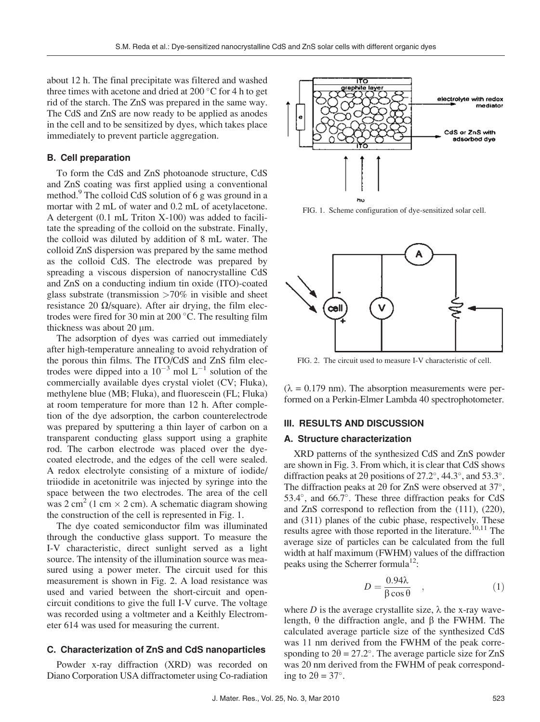about 12 h. The final precipitate was filtered and washed three times with acetone and dried at 200  $\degree$ C for 4 h to get rid of the starch. The ZnS was prepared in the same way. The CdS and ZnS are now ready to be applied as anodes in the cell and to be sensitized by dyes, which takes place immediately to prevent particle aggregation.

#### B. Cell preparation

To form the CdS and ZnS photoanode structure, CdS and ZnS coating was first applied using a conventional method.<sup>9</sup> The colloid CdS solution of 6 g was ground in a mortar with 2 mL of water and 0.2 mL of acetylacetone. A detergent (0.1 mL Triton X-100) was added to facilitate the spreading of the colloid on the substrate. Finally, the colloid was diluted by addition of 8 mL water. The colloid ZnS dispersion was prepared by the same method as the colloid CdS. The electrode was prepared by spreading a viscous dispersion of nanocrystalline CdS and ZnS on a conducting indium tin oxide (ITO)-coated glass substrate (transmission  $>70\%$  in visible and sheet resistance 20  $\Omega$ /square). After air drying, the film electrodes were fired for 30 min at 200 $\degree$ C. The resulting film thickness was about  $20 \mu m$ .

The adsorption of dyes was carried out immediately after high-temperature annealing to avoid rehydration of the porous thin films. The ITO/CdS and ZnS film electrodes were dipped into a  $10^{-3}$  mol L<sup>-1</sup> solution of the commercially available dyes crystal violet (CV; Fluka), methylene blue (MB; Fluka), and fluorescein (FL; Fluka) at room temperature for more than 12 h. After completion of the dye adsorption, the carbon counterelectrode was prepared by sputtering a thin layer of carbon on a transparent conducting glass support using a graphite rod. The carbon electrode was placed over the dyecoated electrode, and the edges of the cell were sealed. A redox electrolyte consisting of a mixture of iodide/ triiodide in acetonitrile was injected by syringe into the space between the two electrodes. The area of the cell was 2 cm<sup>2</sup> (1 cm  $\times$  2 cm). A schematic diagram showing the construction of the cell is represented in Fig. 1.

The dye coated semiconductor film was illuminated through the conductive glass support. To measure the I-V characteristic, direct sunlight served as a light source. The intensity of the illumination source was measured using a power meter. The circuit used for this measurement is shown in Fig. 2. A load resistance was used and varied between the short-circuit and opencircuit conditions to give the full I-V curve. The voltage was recorded using a voltmeter and a Keithly Electrometer 614 was used for measuring the current.

#### C. Characterization of ZnS and CdS nanoparticles

Powder x-ray diffraction (XRD) was recorded on Diano Corporation USA diffractometer using Co-radiation



FIG. 1. Scheme configuration of dye-sensitized solar cell.



FIG. 2. The circuit used to measure I-V characteristic of cell.

 $(\lambda = 0.179$  nm). The absorption measurements were performed on a Perkin-Elmer Lambda 40 spectrophotometer.

#### III. RESULTS AND DISCUSSION

#### A. Structure characterization

XRD patterns of the synthesized CdS and ZnS powder are shown in Fig. 3. From which, it is clear that CdS shows diffraction peaks at 2 $\theta$  positions of 27.2°, 44.3°, and 53.3°. The diffraction peaks at  $2\theta$  for ZnS were observed at 37°, 53.4 $^{\circ}$ , and 66.7 $^{\circ}$ . These three diffraction peaks for CdS and ZnS correspond to reflection from the (111), (220), and (311) planes of the cubic phase, respectively. These results agree with those reported in the literature.<sup>10,11</sup> The average size of particles can be calculated from the full width at half maximum (FWHM) values of the diffraction peaks using the Scherrer formula<sup>12</sup>:

$$
D = \frac{0.94\lambda}{\beta \cos \theta} \quad , \tag{1}
$$

where D is the average crystallite size,  $\lambda$  the x-ray wavelength,  $\theta$  the diffraction angle, and  $\beta$  the FWHM. The calculated average particle size of the synthesized CdS was 11 nm derived from the FWHM of the peak corresponding to  $2\theta = 27.2^{\circ}$ . The average particle size for ZnS was 20 nm derived from the FWHM of peak corresponding to  $2\theta = 37^\circ$ .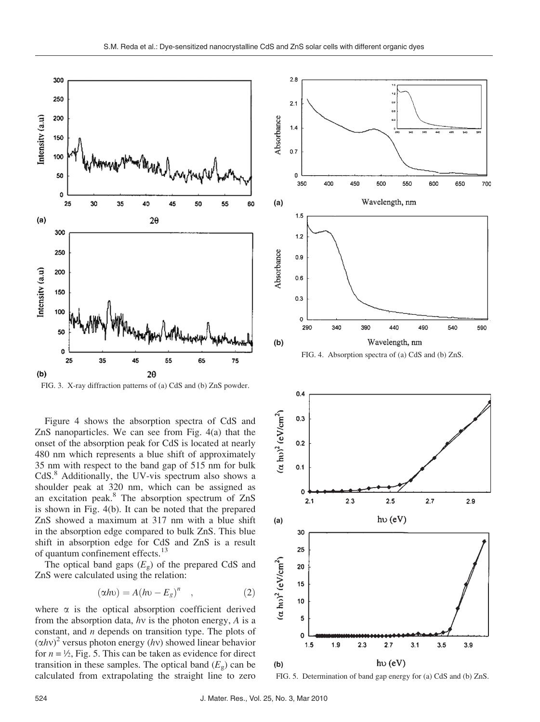

FIG. 3. X-ray diffraction patterns of (a) CdS and (b) ZnS powder.

Figure 4 shows the absorption spectra of CdS and ZnS nanoparticles. We can see from Fig. 4(a) that the onset of the absorption peak for CdS is located at nearly 480 nm which represents a blue shift of approximately 35 nm with respect to the band gap of 515 nm for bulk CdS.8 Additionally, the UV-vis spectrum also shows a shoulder peak at 320 nm, which can be assigned as an excitation peak.<sup>8</sup> The absorption spectrum of ZnS is shown in Fig. 4(b). It can be noted that the prepared ZnS showed a maximum at 317 nm with a blue shift in the absorption edge compared to bulk ZnS. This blue shift in absorption edge for CdS and ZnS is a result of quantum confinement effects.<sup>13</sup>

The optical band gaps  $(E_g)$  of the prepared CdS and ZnS were calculated using the relation:

$$
(\alpha h \nu) = A (h \nu - E_g)^n \quad , \tag{2}
$$

where  $\alpha$  is the optical absorption coefficient derived from the absorption data,  $hv$  is the photon energy,  $A$  is a constant, and  $n$  depends on transition type. The plots of  $(\alpha h v)^2$  versus photon energy (hv) showed linear behavior for  $n = \frac{1}{2}$ , Fig. 5. This can be taken as evidence for direct transition in these samples. The optical band  $(E_g)$  can be calculated from extrapolating the straight line to zero



FIG. 4. Absorption spectra of (a) CdS and (b) ZnS.



FIG. 5. Determination of band gap energy for (a) CdS and (b) ZnS.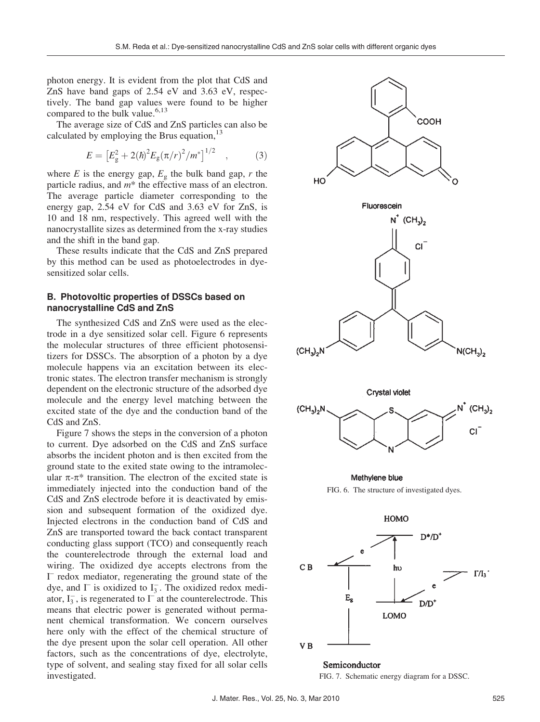photon energy. It is evident from the plot that CdS and ZnS have band gaps of 2.54 eV and 3.63 eV, respectively. The band gap values were found to be higher compared to the bulk value.<sup>6,13</sup>

The average size of CdS and ZnS particles can also be calculated by employing the Brus equation,  $13$ 

$$
E = \left[E_g^2 + 2(\hbar)^2 E_g(\pi/r)^2 / m^*\right]^{1/2} \quad , \tag{3}
$$

where  $E$  is the energy gap,  $E<sub>g</sub>$  the bulk band gap,  $r$  the particle radius, and m\* the effective mass of an electron. The average particle diameter corresponding to the energy gap, 2.54 eV for CdS and 3.63 eV for ZnS, is 10 and 18 nm, respectively. This agreed well with the nanocrystallite sizes as determined from the x-ray studies and the shift in the band gap.

These results indicate that the CdS and ZnS prepared by this method can be used as photoelectrodes in dyesensitized solar cells.

## B. Photovoltic properties of DSSCs based on nanocrystalline CdS and ZnS

The synthesized CdS and ZnS were used as the electrode in a dye sensitized solar cell. Figure 6 represents the molecular structures of three efficient photosensitizers for DSSCs. The absorption of a photon by a dye molecule happens via an excitation between its electronic states. The electron transfer mechanism is strongly dependent on the electronic structure of the adsorbed dye molecule and the energy level matching between the excited state of the dye and the conduction band of the CdS and ZnS.

Figure 7 shows the steps in the conversion of a photon to current. Dye adsorbed on the CdS and ZnS surface absorbs the incident photon and is then excited from the ground state to the exited state owing to the intramolecular  $\pi$ - $\pi$ <sup>\*</sup> transition. The electron of the excited state is immediately injected into the conduction band of the CdS and ZnS electrode before it is deactivated by emission and subsequent formation of the oxidized dye. Injected electrons in the conduction band of CdS and ZnS are transported toward the back contact transparent conducting glass support (TCO) and consequently reach the counterelectrode through the external load and wiring. The oxidized dye accepts electrons from the I – redox mediator, regenerating the ground state of the dye, and  $\Gamma$  is oxidized to  $I_3^-$ . The oxidized redox mediator,  $I_3^-$ , is regenerated to  $I^-$  at the counterelectrode. This means that electric power is generated without permanent chemical transformation. We concern ourselves here only with the effect of the chemical structure of the dye present upon the solar cell operation. All other factors, such as the concentrations of dye, electrolyte, type of solvent, and sealing stay fixed for all solar cells investigated.



Semiconductor FIG. 7. Schematic energy diagram for a DSSC.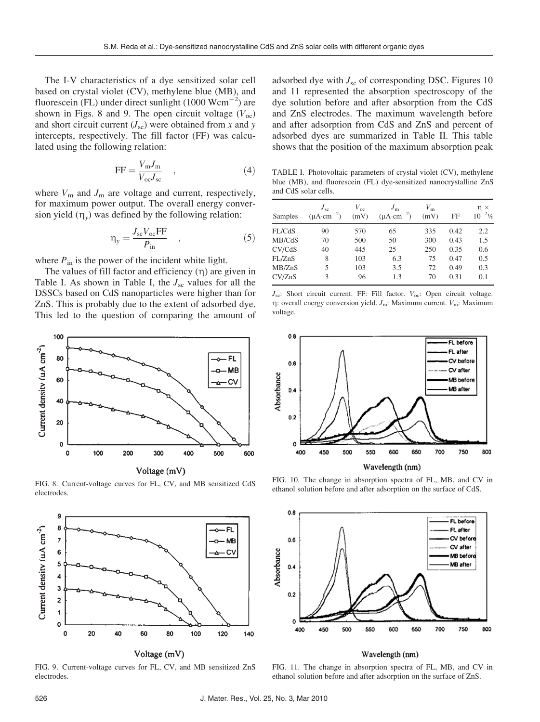The I-V characteristics of a dye sensitized solar cell based on crystal violet (CV), methylene blue (MB), and fluorescein (FL) under direct sunlight  $(1000 \text{ Wcm}^{-2})$  are shown in Figs. 8 and 9. The open circuit voltage  $(V_{\text{oc}})$ and short circuit current  $(J_{\rm sc})$  were obtained from x and y intercepts, respectively. The fill factor (FF) was calculated using the following relation:

$$
FF = \frac{V_m J_m}{V_{oc} J_{sc}} \quad , \tag{4}
$$

where  $V_m$  and  $J_m$  are voltage and current, respectively, for maximum power output. The overall energy conversion yield  $(\eta_v)$  was defined by the following relation:

$$
\eta_{y} = \frac{J_{sc}V_{oc}FF}{P_{in}} \quad , \tag{5}
$$

where  $P_{\text{in}}$  is the power of the incident white light.

The values of fill factor and efficiency  $(\eta)$  are given in Table I. As shown in Table I, the  $J_{\rm sc}$  values for all the DSSCs based on CdS nanoparticles were higher than for ZnS. This is probably due to the extent of adsorbed dye. This led to the question of comparing the amount of



FIG. 8. Current-voltage curves for FL, CV, and MB sensitized CdS electrodes.



FIG. 9. Current-voltage curves for FL, CV, and MB sensitized ZnS electrodes.

adsorbed dye with  $J_{\rm sc}$  of corresponding DSC. Figures 10 and 11 represented the absorption spectroscopy of the dye solution before and after absorption from the CdS and ZnS electrodes. The maximum wavelength before and after adsorption from CdS and ZnS and percent of adsorbed dyes are summarized in Table II. This table shows that the position of the maximum absorption peak

TABLE I. Photovoltaic parameters of crystal violet (CV), methylene blue (MB), and fluorescein (FL) dye-sensitized nanocrystalline ZnS and CdS solar cells.

| Samples | $J_{sc}$<br>$(\mu A \cdot cm^{-2})$ | $V_{\rm oc}$<br>(mV) | $J_{\rm m}$<br>$(\mu A \cdot cm^{-2})$ | $V_{\rm m}$<br>(mV) | FF   | $\eta \times$<br>$^{-2}$ %<br>$10^{\circ}$ |
|---------|-------------------------------------|----------------------|----------------------------------------|---------------------|------|--------------------------------------------|
| FL/CdS  | 90                                  | 570                  | 65                                     | 335                 | 0.42 | 2.2                                        |
| MB/CdS  | 70                                  | 500                  | 50                                     | 300                 | 0.43 | 1.5                                        |
| CV/CdS  | 40                                  | 445                  | 25                                     | 250                 | 0.35 | 0.6                                        |
| FL/ZnS  | 8                                   | 103                  | 6.3                                    | 75                  | 0.47 | 0.5                                        |
| MB/ZnS  | 5                                   | 103                  | 3.5                                    | 72                  | 0.49 | 0.3                                        |
| CV/ZnS  | 3                                   | 96                   | 1.3                                    | 70                  | 0.31 | 0.1                                        |

 $J_{\rm sc}$ : Short circuit current. FF: Fill factor.  $V_{\rm oc}$ : Open circuit voltage.  $\eta$ : overall energy conversion yield.  $J_m$ : Maximum current.  $V_m$ : Maximum voltage.



FIG. 10. The change in absorption spectra of FL, MB, and CV in ethanol solution before and after adsorption on the surface of CdS.



#### Wavelength (nm)

FIG. 11. The change in absorption spectra of FL, MB, and CV in ethanol solution before and after adsorption on the surface of ZnS.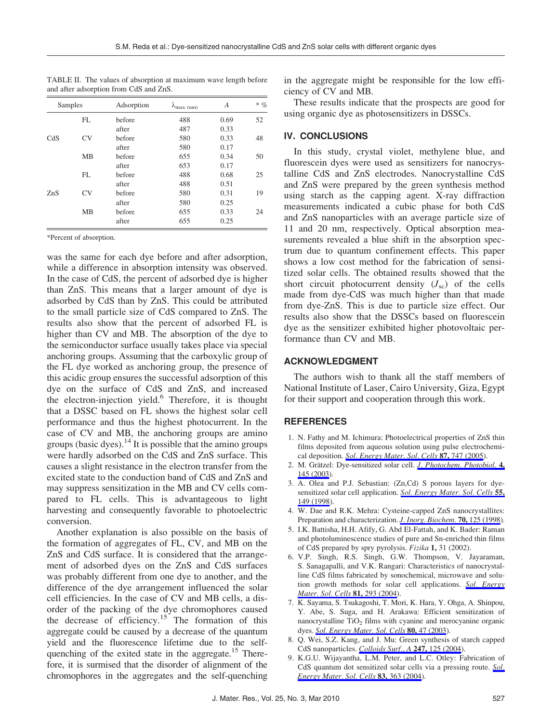| Samples |                | Adsorption | $\lambda_{\text{max (nm)}}$ | A    | $\ast$ $\%$ |
|---------|----------------|------------|-----------------------------|------|-------------|
|         | FL             | before     | 488                         | 0.69 | 52          |
|         |                | after      | 487                         | 0.33 |             |
| CdS     | CV <sub></sub> | before     | 580                         | 0.33 | 48          |
|         |                | after      | 580                         | 0.17 |             |
|         | MB             | before     | 655                         | 0.34 | 50          |
|         |                | after      | 653                         | 0.17 |             |
|         | FL             | before     | 488                         | 0.68 | 25          |
|         |                | after      | 488                         | 0.51 |             |
| ZnS     | CV <sub></sub> | before     | 580                         | 0.31 | 19          |
|         |                | after      | 580                         | 0.25 |             |
|         | MB             | before     | 655                         | 0.33 | 24          |
|         |                | after      | 655                         | 0.25 |             |

TABLE II. The values of absorption at maximum wave length before and after adsorption from CdS and ZnS.

\*Percent of absorption.

was the same for each dye before and after adsorption, while a difference in absorption intensity was observed. In the case of CdS, the percent of adsorbed dye is higher than ZnS. This means that a larger amount of dye is adsorbed by CdS than by ZnS. This could be attributed to the small particle size of CdS compared to ZnS. The results also show that the percent of adsorbed FL is higher than CV and MB. The absorption of the dye to the semiconductor surface usually takes place via special anchoring groups. Assuming that the carboxylic group of the FL dye worked as anchoring group, the presence of this acidic group ensures the successful adsorption of this dye on the surface of CdS and ZnS, and increased the electron-injection yield.<sup>6</sup> Therefore, it is thought that a DSSC based on FL shows the highest solar cell performance and thus the highest photocurrent. In the case of CV and MB, the anchoring groups are amino groups (basic dyes).<sup>14</sup> It is possible that the amino groups were hardly adsorbed on the CdS and ZnS surface. This causes a slight resistance in the electron transfer from the excited state to the conduction band of CdS and ZnS and may suppress sensitization in the MB and CV cells compared to FL cells. This is advantageous to light harvesting and consequently favorable to photoelectric conversion.

Another explanation is also possible on the basis of the formation of aggregates of FL, CV, and MB on the ZnS and CdS surface. It is considered that the arrangement of adsorbed dyes on the ZnS and CdS surfaces was probably different from one dye to another, and the difference of the dye arrangement influenced the solar cell efficiencies. In the case of CV and MB cells, a disorder of the packing of the dye chromophores caused the decrease of efficiency.<sup>15</sup> The formation of this aggregate could be caused by a decrease of the quantum yield and the fluorescence lifetime due to the selfquenching of the exited state in the aggregate.<sup>15</sup> Therefore, it is surmised that the disorder of alignment of the chromophores in the aggregates and the self-quenching

in the aggregate might be responsible for the low efficiency of CV and MB.

These results indicate that the prospects are good for using organic dye as photosensitizers in DSSCs.

## IV. CONCLUSIONS

In this study, crystal violet, methylene blue, and fluorescein dyes were used as sensitizers for nanocrystalline CdS and ZnS electrodes. Nanocrystalline CdS and ZnS were prepared by the green synthesis method using starch as the capping agent. X-ray diffraction measurements indicated a cubic phase for both CdS and ZnS nanoparticles with an average particle size of 11 and 20 nm, respectively. Optical absorption measurements revealed a blue shift in the absorption spectrum due to quantum confinement effects. This paper shows a low cost method for the fabrication of sensitized solar cells. The obtained results showed that the short circuit photocurrent density  $(J_{\rm sc})$  of the cells made from dye-CdS was much higher than that made from dye-ZnS. This is due to particle size effect. Our results also show that the DSSCs based on fluorescein dye as the sensitizer exhibited higher photovoltaic performance than CV and MB.

## ACKNOWLEDGMENT

The authors wish to thank all the staff members of National Institute of Laser, Cairo University, Giza, Egypt for their support and cooperation through this work.

## **REFERENCES**

- 1. N. Fathy and M. Ichimura: Photoelectrical properties of ZnS thin films deposited from aqueous solution using pulse electrochemical deposition. Sol. Energy Mater. Sol. Cells 87, 747 (2005).
- 2. M. Grätzel: Dye-sensitized solar cell. *J. Photochem. Photobiol.* 4, 145 (2003).
- 3. A. Olea and P.J. Sebastian: (Zn,Cd) S porous layers for dyesensitized solar cell application. Sol. Energy Mater. Sol. Cells 55, 149 (1998).
- 4. W. Dae and R.K. Mehra: Cysteine-capped ZnS nanocrystallites: Preparation and characterization. *J. Inorg. Biochem.* **70,** 125 (1998).
- 5. I.K. Battisha, H.H. Afify, G. Abd El-Fattah, and K. Bader: Raman and photoluminescence studies of pure and Sn-enriched thin films of CdS prepared by spry pyrolysis. Fizika 1, 31 (2002).
- 6. V.P. Singh, R.S. Singh, G.W. Thompson, V. Jayaraman, S. Sanagapalli, and V.K. Rangari: Characteristics of nanocrystalline CdS films fabricated by sonochemical, microwave and solution growth methods for solar cell applications. Sol. Energy Mater. Sol. Cells 81, 293 (2004).
- 7. K. Sayama, S. Tsukagoshi, T. Mori, K. Hara, Y. Ohga, A. Shinpou, Y. Abe, S. Suga, and H. Arakawa: Efficient sensitization of nanocrystalline  $TiO<sub>2</sub>$  films with cyanine and merocyanine organic dyes. Sol. Energy Mater. Sol. Cells 80, 47 (2003).
- 8. Q. Wei, S.Z. Kang, and J. Mu: Green synthesis of starch capped CdS nanoparticles. Colloids Surf., A 247, 125 (2004).
- 9. K.G.U. Wijayantha, L.M. Peter, and L.C. Otley: Fabrication of CdS quantum dot sensitized solar cells via a pressing route. Sol. **Energy Mater. Sol. Cells 83, 363 (2004).**